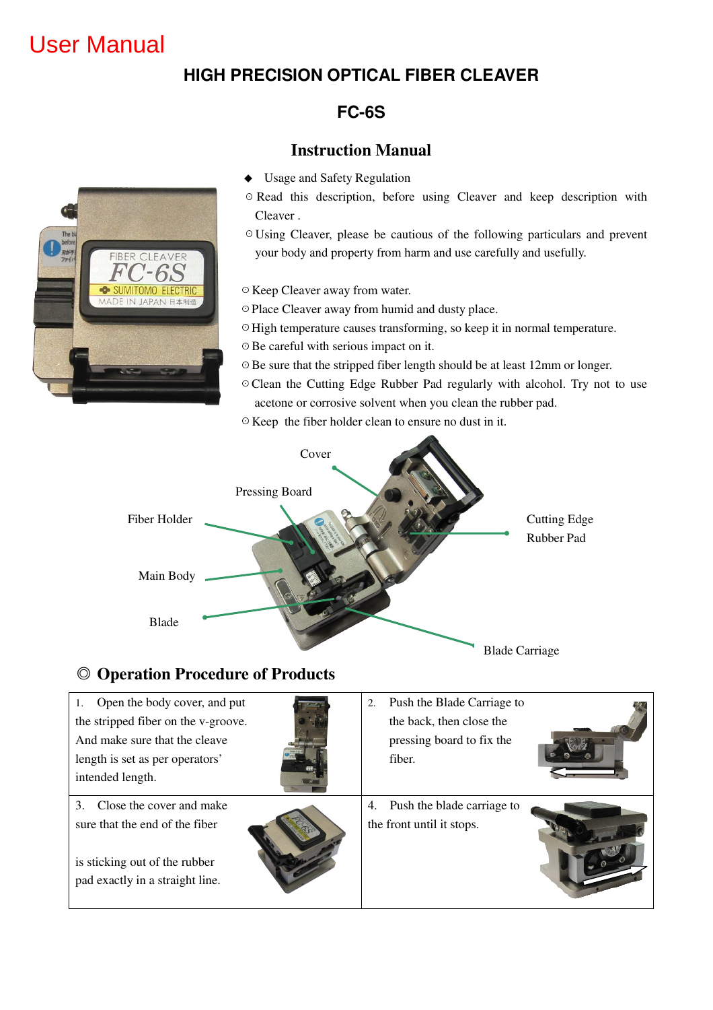# User Manual

## **HIGH PRECISION OPTICAL FIBER CLEAVER**

## **FC-6S**

#### **Instruction Manual**

- ◆ Usage and Safety Regulation
- ☉Read this description, before using Cleaver and keep description with Cleaver .
- ☉Using Cleaver, please be cautious of the following particulars and prevent your body and property from harm and use carefully and usefully.
- ☉Keep Cleaver away from water.
- ☉Place Cleaver away from humid and dusty place.
- ☉High temperature causes transforming, so keep it in normal temperature.
- ☉Be careful with serious impact on it.
- ☉Be sure that the stripped fiber length should be at least 12mm or longer.
- ☉Clean the Cutting Edge Rubber Pad regularly with alcohol. Try not to use acetone or corrosive solvent when you clean the rubber pad.
- ☉Keep the fiber holder clean to ensure no dust in it.



#### ◎ **Operation Procedure of Products**

| 1. Open the body cover, and put                                                                                                           | Push the Blade Carriage to                                    |
|-------------------------------------------------------------------------------------------------------------------------------------------|---------------------------------------------------------------|
| the stripped fiber on the v-groove.                                                                                                       | 2.                                                            |
| And make sure that the cleave                                                                                                             | the back, then close the                                      |
| length is set as per operators'                                                                                                           | pressing board to fix the                                     |
| intended length.                                                                                                                          | fiber.                                                        |
| Close the cover and make<br>$3_{-}$<br>sure that the end of the fiber<br>is sticking out of the rubber<br>pad exactly in a straight line. | Push the blade carriage to<br>4.<br>the front until it stops. |